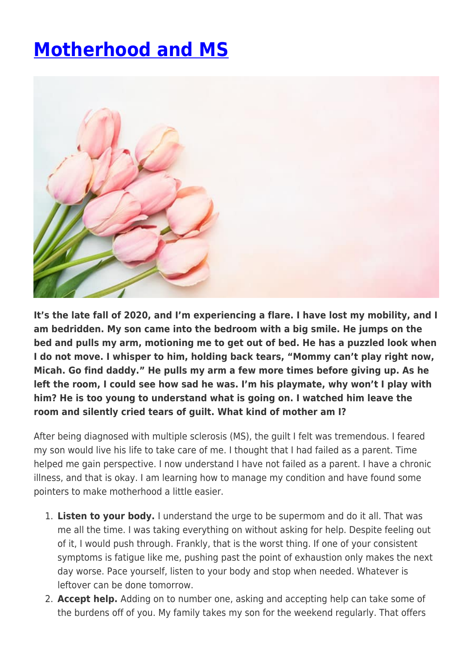## **[Motherhood and MS](https://momentummagazineonline.com/blog/motherhood-and-ms/)**



**It's the late fall of 2020, and I'm experiencing a flare. I have lost my mobility, and I am bedridden. My son came into the bedroom with a big smile. He jumps on the bed and pulls my arm, motioning me to get out of bed. He has a puzzled look when I do not move. I whisper to him, holding back tears, "Mommy can't play right now, Micah. Go find daddy." He pulls my arm a few more times before giving up. As he left the room, I could see how sad he was. I'm his playmate, why won't I play with him? He is too young to understand what is going on. I watched him leave the room and silently cried tears of guilt. What kind of mother am I?** 

After being diagnosed with multiple sclerosis (MS), the guilt I felt was tremendous. I feared my son would live his life to take care of me. I thought that I had failed as a parent. Time helped me gain perspective. I now understand I have not failed as a parent. I have a chronic illness, and that is okay. I am learning how to manage my condition and have found some pointers to make motherhood a little easier.

- 1. **Listen to your body.** I understand the urge to be supermom and do it all. That was me all the time. I was taking everything on without asking for help. Despite feeling out of it, I would push through. Frankly, that is the worst thing. If one of your consistent symptoms is fatigue like me, pushing past the point of exhaustion only makes the next day worse. Pace yourself, listen to your body and stop when needed. Whatever is leftover can be done tomorrow.
- 2. **Accept help.** Adding on to number one, asking and accepting help can take some of the burdens off of you. My family takes my son for the weekend regularly. That offers